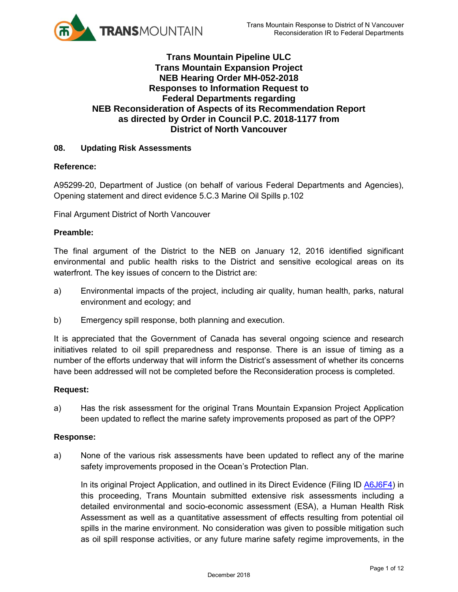

# **Trans Mountain Pipeline ULC Trans Mountain Expansion Project NEB Hearing Order MH-052-2018 Responses to Information Request to Federal Departments regarding NEB Reconsideration of Aspects of its Recommendation Report as directed by Order in Council P.C. 2018-1177 from District of North Vancouver**

### **08. Updating Risk Assessments**

### **Reference:**

A95299-20, Department of Justice (on behalf of various Federal Departments and Agencies), Opening statement and direct evidence 5.C.3 Marine Oil Spills p.102

Final Argument District of North Vancouver

### **Preamble:**

The final argument of the District to the NEB on January 12, 2016 identified significant environmental and public health risks to the District and sensitive ecological areas on its waterfront. The key issues of concern to the District are:

- a) Environmental impacts of the project, including air quality, human health, parks, natural environment and ecology; and
- b) Emergency spill response, both planning and execution.

It is appreciated that the Government of Canada has several ongoing science and research initiatives related to oil spill preparedness and response. There is an issue of timing as a number of the efforts underway that will inform the District's assessment of whether its concerns have been addressed will not be completed before the Reconsideration process is completed.

### **Request:**

a) Has the risk assessment for the original Trans Mountain Expansion Project Application been updated to reflect the marine safety improvements proposed as part of the OPP?

### **Response:**

a) None of the various risk assessments have been updated to reflect any of the marine safety improvements proposed in the Ocean's Protection Plan.

In its original Project Application, and outlined in its Direct Evidence (Filing ID A6J6F4) in this proceeding, Trans Mountain submitted extensive risk assessments including a detailed environmental and socio-economic assessment (ESA), a Human Health Risk Assessment as well as a quantitative assessment of effects resulting from potential oil spills in the marine environment. No consideration was given to possible mitigation such as oil spill response activities, or any future marine safety regime improvements, in the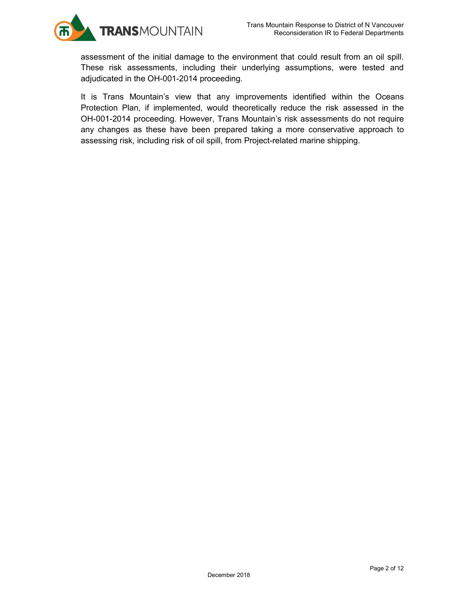

assessment of the initial damage to the environment that could result from an oil spill. These risk assessments, including their underlying assumptions, were tested and adjudicated in the OH-001-2014 proceeding.

It is Trans Mountain's view that any improvements identified within the Oceans Protection Plan, if implemented, would theoretically reduce the risk assessed in the OH-001-2014 proceeding. However, Trans Mountain's risk assessments do not require any changes as these have been prepared taking a more conservative approach to assessing risk, including risk of oil spill, from Project-related marine shipping.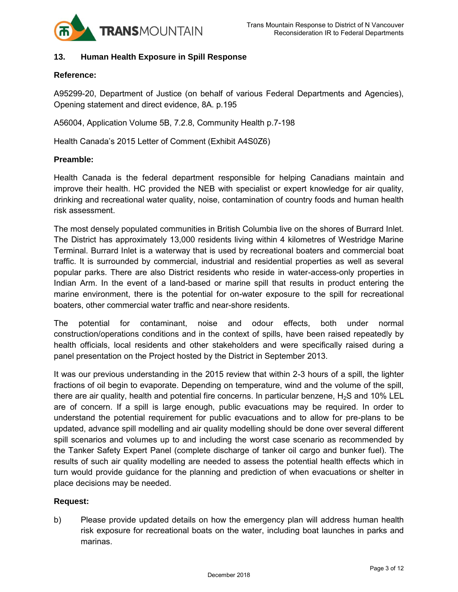

### **13. Human Health Exposure in Spill Response**

#### **Reference:**

A95299-20, Department of Justice (on behalf of various Federal Departments and Agencies), Opening statement and direct evidence, 8A. p.195

A56004, Application Volume 5B, 7.2.8, Community Health p.7-198

Health Canada's 2015 Letter of Comment (Exhibit A4S0Z6)

### **Preamble:**

Health Canada is the federal department responsible for helping Canadians maintain and improve their health. HC provided the NEB with specialist or expert knowledge for air quality, drinking and recreational water quality, noise, contamination of country foods and human health risk assessment.

The most densely populated communities in British Columbia live on the shores of Burrard Inlet. The District has approximately 13,000 residents living within 4 kilometres of Westridge Marine Terminal. Burrard Inlet is a waterway that is used by recreational boaters and commercial boat traffic. It is surrounded by commercial, industrial and residential properties as well as several popular parks. There are also District residents who reside in water-access-only properties in Indian Arm. In the event of a land-based or marine spill that results in product entering the marine environment, there is the potential for on-water exposure to the spill for recreational boaters, other commercial water traffic and near-shore residents.

The potential for contaminant, noise and odour effects, both under normal construction/operations conditions and in the context of spills, have been raised repeatedly by health officials, local residents and other stakeholders and were specifically raised during a panel presentation on the Project hosted by the District in September 2013.

It was our previous understanding in the 2015 review that within 2-3 hours of a spill, the lighter fractions of oil begin to evaporate. Depending on temperature, wind and the volume of the spill, there are air quality, health and potential fire concerns. In particular benzene,  $H<sub>2</sub>S$  and 10% LEL are of concern. If a spill is large enough, public evacuations may be required. In order to understand the potential requirement for public evacuations and to allow for pre-plans to be updated, advance spill modelling and air quality modelling should be done over several different spill scenarios and volumes up to and including the worst case scenario as recommended by the Tanker Safety Expert Panel (complete discharge of tanker oil cargo and bunker fuel). The results of such air quality modelling are needed to assess the potential health effects which in turn would provide guidance for the planning and prediction of when evacuations or shelter in place decisions may be needed.

### **Request:**

b) Please provide updated details on how the emergency plan will address human health risk exposure for recreational boats on the water, including boat launches in parks and marinas.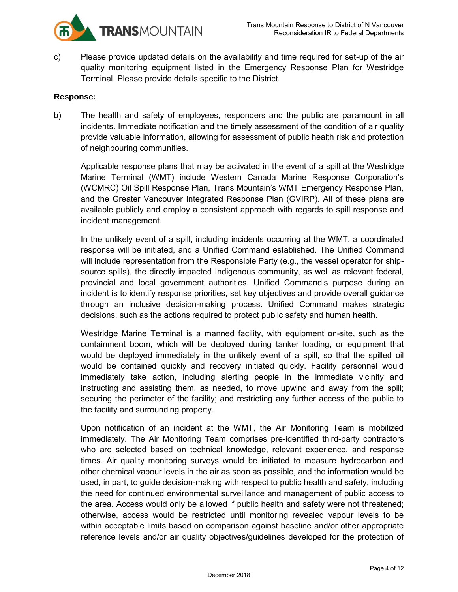

c) Please provide updated details on the availability and time required for set-up of the air quality monitoring equipment listed in the Emergency Response Plan for Westridge Terminal. Please provide details specific to the District.

### **Response:**

b) The health and safety of employees, responders and the public are paramount in all incidents. Immediate notification and the timely assessment of the condition of air quality provide valuable information, allowing for assessment of public health risk and protection of neighbouring communities.

Applicable response plans that may be activated in the event of a spill at the Westridge Marine Terminal (WMT) include Western Canada Marine Response Corporation's (WCMRC) Oil Spill Response Plan, Trans Mountain's WMT Emergency Response Plan, and the Greater Vancouver Integrated Response Plan (GVIRP). All of these plans are available publicly and employ a consistent approach with regards to spill response and incident management.

In the unlikely event of a spill, including incidents occurring at the WMT, a coordinated response will be initiated, and a Unified Command established. The Unified Command will include representation from the Responsible Party (e.g., the vessel operator for shipsource spills), the directly impacted Indigenous community, as well as relevant federal, provincial and local government authorities. Unified Command's purpose during an incident is to identify response priorities, set key objectives and provide overall guidance through an inclusive decision-making process. Unified Command makes strategic decisions, such as the actions required to protect public safety and human health.

Westridge Marine Terminal is a manned facility, with equipment on-site, such as the containment boom, which will be deployed during tanker loading, or equipment that would be deployed immediately in the unlikely event of a spill, so that the spilled oil would be contained quickly and recovery initiated quickly. Facility personnel would immediately take action, including alerting people in the immediate vicinity and instructing and assisting them, as needed, to move upwind and away from the spill; securing the perimeter of the facility; and restricting any further access of the public to the facility and surrounding property.

Upon notification of an incident at the WMT, the Air Monitoring Team is mobilized immediately. The Air Monitoring Team comprises pre-identified third-party contractors who are selected based on technical knowledge, relevant experience, and response times. Air quality monitoring surveys would be initiated to measure hydrocarbon and other chemical vapour levels in the air as soon as possible, and the information would be used, in part, to guide decision-making with respect to public health and safety, including the need for continued environmental surveillance and management of public access to the area. Access would only be allowed if public health and safety were not threatened; otherwise, access would be restricted until monitoring revealed vapour levels to be within acceptable limits based on comparison against baseline and/or other appropriate reference levels and/or air quality objectives/guidelines developed for the protection of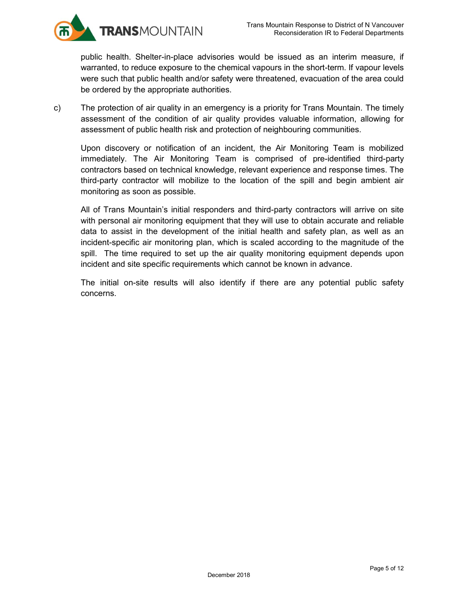

public health. Shelter-in-place advisories would be issued as an interim measure, if warranted, to reduce exposure to the chemical vapours in the short-term. If vapour levels were such that public health and/or safety were threatened, evacuation of the area could be ordered by the appropriate authorities.

c) The protection of air quality in an emergency is a priority for Trans Mountain. The timely assessment of the condition of air quality provides valuable information, allowing for assessment of public health risk and protection of neighbouring communities.

Upon discovery or notification of an incident, the Air Monitoring Team is mobilized immediately. The Air Monitoring Team is comprised of pre-identified third-party contractors based on technical knowledge, relevant experience and response times. The third-party contractor will mobilize to the location of the spill and begin ambient air monitoring as soon as possible.

All of Trans Mountain's initial responders and third-party contractors will arrive on site with personal air monitoring equipment that they will use to obtain accurate and reliable data to assist in the development of the initial health and safety plan, as well as an incident-specific air monitoring plan, which is scaled according to the magnitude of the spill. The time required to set up the air quality monitoring equipment depends upon incident and site specific requirements which cannot be known in advance.

The initial on-site results will also identify if there are any potential public safety concerns.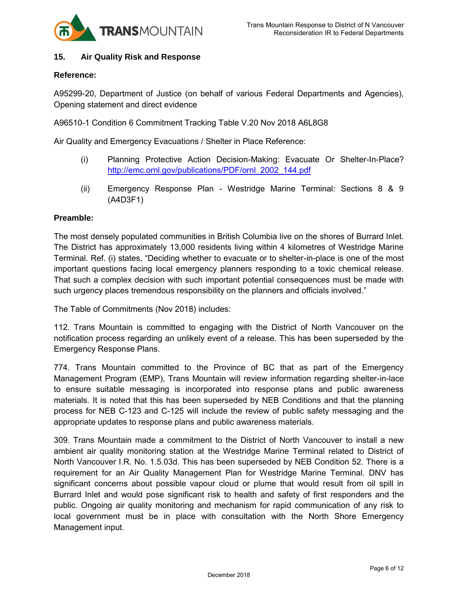

### **15. Air Quality Risk and Response**

### **Reference:**

A95299-20, Department of Justice (on behalf of various Federal Departments and Agencies), Opening statement and direct evidence

A96510-1 Condition 6 Commitment Tracking Table V.20 Nov 2018 A6L8G8

Air Quality and Emergency Evacuations / Shelter in Place Reference:

- (i) Planning Protective Action Decision-Making: Evacuate Or Shelter-In-Place? [http://emc.ornl.gov/publications/PDF/ornl\\_2002\\_144.pdf](http://emc.ornl.gov/publications/PDF/ornl_2002_144.pdf)
- (ii) Emergency Response Plan Westridge Marine Terminal: Sections 8 & 9 (A4D3F1)

### **Preamble:**

The most densely populated communities in British Columbia live on the shores of Burrard Inlet. The District has approximately 13,000 residents living within 4 kilometres of Westridge Marine Terminal. Ref. (i) states, "Deciding whether to evacuate or to shelter-in-place is one of the most important questions facing local emergency planners responding to a toxic chemical release. That such a complex decision with such important potential consequences must be made with such urgency places tremendous responsibility on the planners and officials involved."

The Table of Commitments (Nov 2018) includes:

112. Trans Mountain is committed to engaging with the District of North Vancouver on the notification process regarding an unlikely event of a release. This has been superseded by the Emergency Response Plans.

774. Trans Mountain committed to the Province of BC that as part of the Emergency Management Program (EMP), Trans Mountain will review information regarding shelter-in-lace to ensure suitable messaging is incorporated into response plans and public awareness materials. It is noted that this has been superseded by NEB Conditions and that the planning process for NEB C-123 and C-125 will include the review of public safety messaging and the appropriate updates to response plans and public awareness materials.

309. Trans Mountain made a commitment to the District of North Vancouver to install a new ambient air quality monitoring station at the Westridge Marine Terminal related to District of North Vancouver I.R. No. 1.5.03d. This has been superseded by NEB Condition 52. There is a requirement for an Air Quality Management Plan for Westridge Marine Terminal. DNV has significant concerns about possible vapour cloud or plume that would result from oil spill in Burrard Inlet and would pose significant risk to health and safety of first responders and the public. Ongoing air quality monitoring and mechanism for rapid communication of any risk to local government must be in place with consultation with the North Shore Emergency Management input.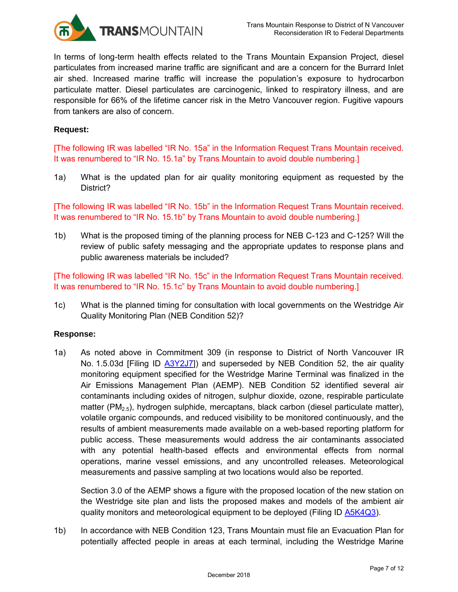

In terms of long-term health effects related to the Trans Mountain Expansion Project, diesel particulates from increased marine traffic are significant and are a concern for the Burrard Inlet air shed. Increased marine traffic will increase the population's exposure to hydrocarbon particulate matter. Diesel particulates are carcinogenic, linked to respiratory illness, and are responsible for 66% of the lifetime cancer risk in the Metro Vancouver region. Fugitive vapours from tankers are also of concern.

### **Request:**

[The following IR was labelled "IR No. 15a" in the Information Request Trans Mountain received. It was renumbered to "IR No. 15.1a" by Trans Mountain to avoid double numbering.]

1a) What is the updated plan for air quality monitoring equipment as requested by the District?

[The following IR was labelled "IR No. 15b" in the Information Request Trans Mountain received. It was renumbered to "IR No. 15.1b" by Trans Mountain to avoid double numbering.]

1b) What is the proposed timing of the planning process for NEB C-123 and C-125? Will the review of public safety messaging and the appropriate updates to response plans and public awareness materials be included?

[The following IR was labelled "IR No. 15c" in the Information Request Trans Mountain received. It was renumbered to "IR No. 15.1c" by Trans Mountain to avoid double numbering.]

1c) What is the planned timing for consultation with local governments on the Westridge Air Quality Monitoring Plan (NEB Condition 52)?

### **Response:**

1a) As noted above in Commitment 309 (in response to District of North Vancouver IR No. 1.5.03d [Filing ID [A3Y2J7\]](https://docs.neb-one.gc.ca/ll-eng/llisapi.dll/open/2482374)) and superseded by NEB Condition 52, the air quality monitoring equipment specified for the Westridge Marine Terminal was finalized in the Air Emissions Management Plan (AEMP). NEB Condition 52 identified several air contaminants including oxides of nitrogen, sulphur dioxide, ozone, respirable particulate matter (PM<sub>2.5</sub>), hydrogen sulphide, mercaptans, black carbon (diesel particulate matter), volatile organic compounds, and reduced visibility to be monitored continuously, and the results of ambient measurements made available on a web-based reporting platform for public access. These measurements would address the air contaminants associated with any potential health-based effects and environmental effects from normal operations, marine vessel emissions, and any uncontrolled releases. Meteorological measurements and passive sampling at two locations would also be reported.

Section 3.0 of the AEMP shows a figure with the proposed location of the new station on the Westridge site plan and lists the proposed makes and models of the ambient air quality monitors and meteorological equipment to be deployed (Filing ID [A5K4Q3\)](https://apps.neb-one.gc.ca/REGDOCS/Search?dn=A5K4Q3).

1b) In accordance with NEB Condition 123, Trans Mountain must file an Evacuation Plan for potentially affected people in areas at each terminal, including the Westridge Marine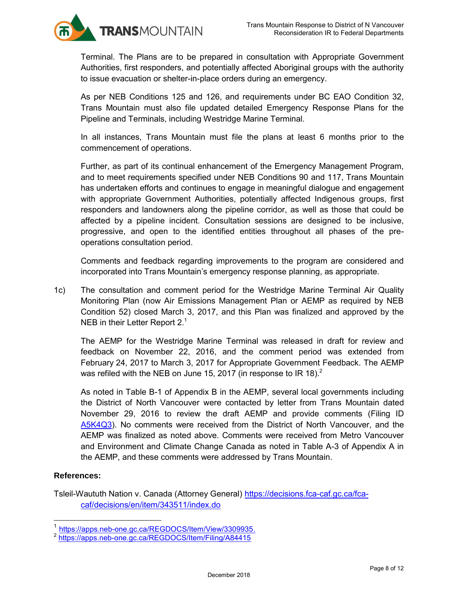

Terminal. The Plans are to be prepared in consultation with Appropriate Government Authorities, first responders, and potentially affected Aboriginal groups with the authority to issue evacuation or shelter-in-place orders during an emergency.

As per NEB Conditions 125 and 126, and requirements under BC EAO Condition 32, Trans Mountain must also file updated detailed Emergency Response Plans for the Pipeline and Terminals, including Westridge Marine Terminal.

In all instances, Trans Mountain must file the plans at least 6 months prior to the commencement of operations.

Further, as part of its continual enhancement of the Emergency Management Program, and to meet requirements specified under NEB Conditions 90 and 117, Trans Mountain has undertaken efforts and continues to engage in meaningful dialogue and engagement with appropriate Government Authorities, potentially affected Indigenous groups, first responders and landowners along the pipeline corridor, as well as those that could be affected by a pipeline incident. Consultation sessions are designed to be inclusive, progressive, and open to the identified entities throughout all phases of the preoperations consultation period.

Comments and feedback regarding improvements to the program are considered and incorporated into Trans Mountain's emergency response planning, as appropriate.

1c) The consultation and comment period for the Westridge Marine Terminal Air Quality Monitoring Plan (now Air Emissions Management Plan or AEMP as required by NEB Condition 52) closed March 3, 2017, and this Plan was finalized and approved by the NEB in their Letter Report  $2.<sup>1</sup>$ 

The AEMP for the Westridge Marine Terminal was released in draft for review and feedback on November 22, 2016, and the comment period was extended from February 24, 2017 to March 3, 2017 for Appropriate Government Feedback. The AEMP was refiled with the NEB on June 15, 2017 (in response to IR 18). $^2$ 

As noted in Table B-1 of Appendix B in the AEMP, several local governments including the District of North Vancouver were contacted by letter from Trans Mountain dated November 29, 2016 to review the draft AEMP and provide comments (Filing ID [A5K4Q3\)](https://apps.neb-one.gc.ca/REGDOCS/Search?dn=A5K4Q3). No comments were received from the District of North Vancouver, and the AEMP was finalized as noted above. Comments were received from Metro Vancouver and Environment and Climate Change Canada as noted in Table A-3 of Appendix A in the AEMP, and these comments were addressed by Trans Mountain.

# **References:**

 $\overline{a}$ 

Tsleil-Waututh Nation v. Canada (Attorney General) [https://decisions.fca-caf.gc.ca/fca](https://decisions.fca-caf.gc.ca/fca-caf/decisions/en/item/343511/index.do)[caf/decisions/en/item/343511/index.do](https://decisions.fca-caf.gc.ca/fca-caf/decisions/en/item/343511/index.do) 

<sup>1</sup> [https://apps.neb-one.gc.ca/REGDOCS/Item/View/3309935.](https://apps.neb-one.gc.ca/REGDOCS/Item/View/3309935)

<sup>&</sup>lt;sup>2</sup> <https://apps.neb-one.gc.ca/REGDOCS/Item/Filing/A84415>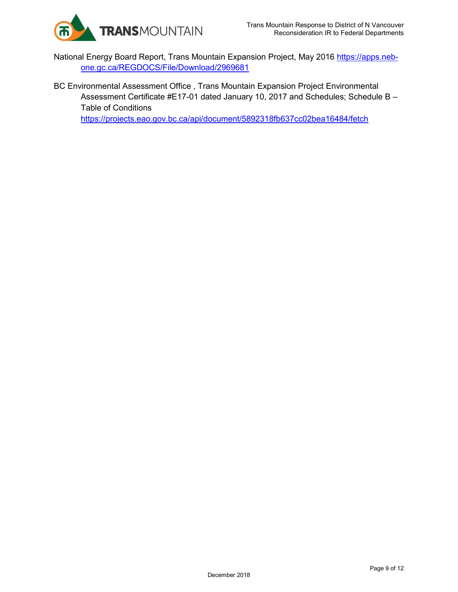

- National Energy Board Report, Trans Mountain Expansion Project, May 2016 [https://apps.neb](https://apps.neb-one.gc.ca/REGDOCS/File/Download/2969681)[one.gc.ca/REGDOCS/File/Download/2969681](https://apps.neb-one.gc.ca/REGDOCS/File/Download/2969681)
- BC Environmental Assessment Office , Trans Mountain Expansion Project Environmental Assessment Certificate #E17-01 dated January 10, 2017 and Schedules; Schedule B -Table of Conditions

<https://projects.eao.gov.bc.ca/api/document/5892318fb637cc02bea16484/fetch>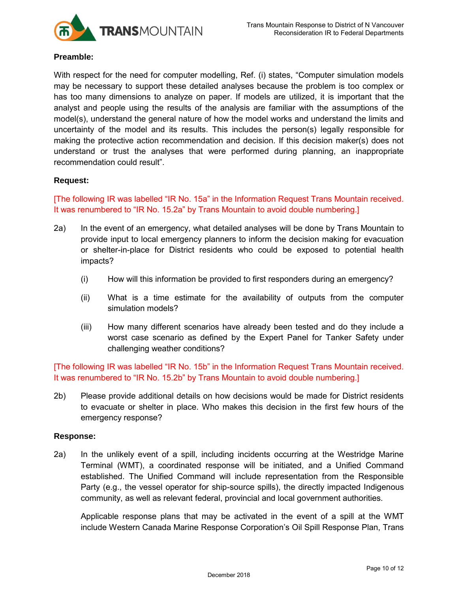

#### **Preamble:**

With respect for the need for computer modelling, Ref. (i) states, "Computer simulation models may be necessary to support these detailed analyses because the problem is too complex or has too many dimensions to analyze on paper. If models are utilized, it is important that the analyst and people using the results of the analysis are familiar with the assumptions of the model(s), understand the general nature of how the model works and understand the limits and uncertainty of the model and its results. This includes the person(s) legally responsible for making the protective action recommendation and decision. If this decision maker(s) does not understand or trust the analyses that were performed during planning, an inappropriate recommendation could result".

### **Request:**

[The following IR was labelled "IR No. 15a" in the Information Request Trans Mountain received. It was renumbered to "IR No. 15.2a" by Trans Mountain to avoid double numbering.]

- 2a) In the event of an emergency, what detailed analyses will be done by Trans Mountain to provide input to local emergency planners to inform the decision making for evacuation or shelter-in-place for District residents who could be exposed to potential health impacts?
	- (i) How will this information be provided to first responders during an emergency?
	- (ii) What is a time estimate for the availability of outputs from the computer simulation models?
	- (iii) How many different scenarios have already been tested and do they include a worst case scenario as defined by the Expert Panel for Tanker Safety under challenging weather conditions?

[The following IR was labelled "IR No. 15b" in the Information Request Trans Mountain received. It was renumbered to "IR No. 15.2b" by Trans Mountain to avoid double numbering.]

2b) Please provide additional details on how decisions would be made for District residents to evacuate or shelter in place. Who makes this decision in the first few hours of the emergency response?

### **Response:**

2a) In the unlikely event of a spill, including incidents occurring at the Westridge Marine Terminal (WMT), a coordinated response will be initiated, and a Unified Command established. The Unified Command will include representation from the Responsible Party (e.g., the vessel operator for ship-source spills), the directly impacted Indigenous community, as well as relevant federal, provincial and local government authorities.

Applicable response plans that may be activated in the event of a spill at the WMT include Western Canada Marine Response Corporation's Oil Spill Response Plan, Trans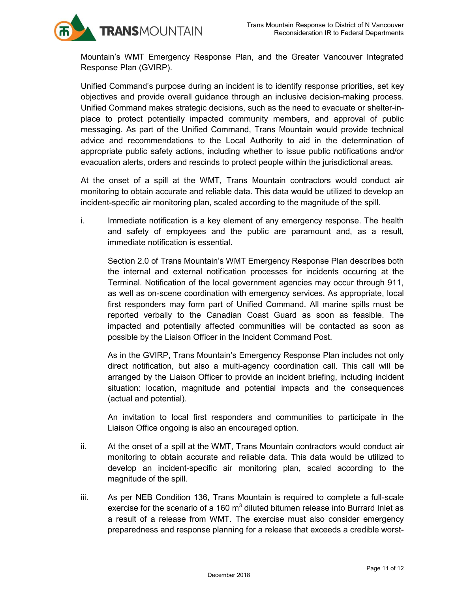TRANSMOUNTAIN

Mountain's WMT Emergency Response Plan, and the Greater Vancouver Integrated Response Plan (GVIRP).

Unified Command's purpose during an incident is to identify response priorities, set key objectives and provide overall guidance through an inclusive decision-making process. Unified Command makes strategic decisions, such as the need to evacuate or shelter-inplace to protect potentially impacted community members, and approval of public messaging. As part of the Unified Command, Trans Mountain would provide technical advice and recommendations to the Local Authority to aid in the determination of appropriate public safety actions, including whether to issue public notifications and/or evacuation alerts, orders and rescinds to protect people within the jurisdictional areas.

At the onset of a spill at the WMT, Trans Mountain contractors would conduct air monitoring to obtain accurate and reliable data. This data would be utilized to develop an incident-specific air monitoring plan, scaled according to the magnitude of the spill.

i. Immediate notification is a key element of any emergency response. The health and safety of employees and the public are paramount and, as a result, immediate notification is essential.

Section 2.0 of Trans Mountain's WMT Emergency Response Plan describes both the internal and external notification processes for incidents occurring at the Terminal. Notification of the local government agencies may occur through 911, as well as on-scene coordination with emergency services. As appropriate, local first responders may form part of Unified Command. All marine spills must be reported verbally to the Canadian Coast Guard as soon as feasible. The impacted and potentially affected communities will be contacted as soon as possible by the Liaison Officer in the Incident Command Post.

As in the GVIRP, Trans Mountain's Emergency Response Plan includes not only direct notification, but also a multi-agency coordination call. This call will be arranged by the Liaison Officer to provide an incident briefing, including incident situation: location, magnitude and potential impacts and the consequences (actual and potential).

An invitation to local first responders and communities to participate in the Liaison Office ongoing is also an encouraged option.

- ii. At the onset of a spill at the WMT, Trans Mountain contractors would conduct air monitoring to obtain accurate and reliable data. This data would be utilized to develop an incident-specific air monitoring plan, scaled according to the magnitude of the spill.
- iii. As per NEB Condition 136, Trans Mountain is required to complete a full-scale exercise for the scenario of a 160  $m^3$  diluted bitumen release into Burrard Inlet as a result of a release from WMT. The exercise must also consider emergency preparedness and response planning for a release that exceeds a credible worst-